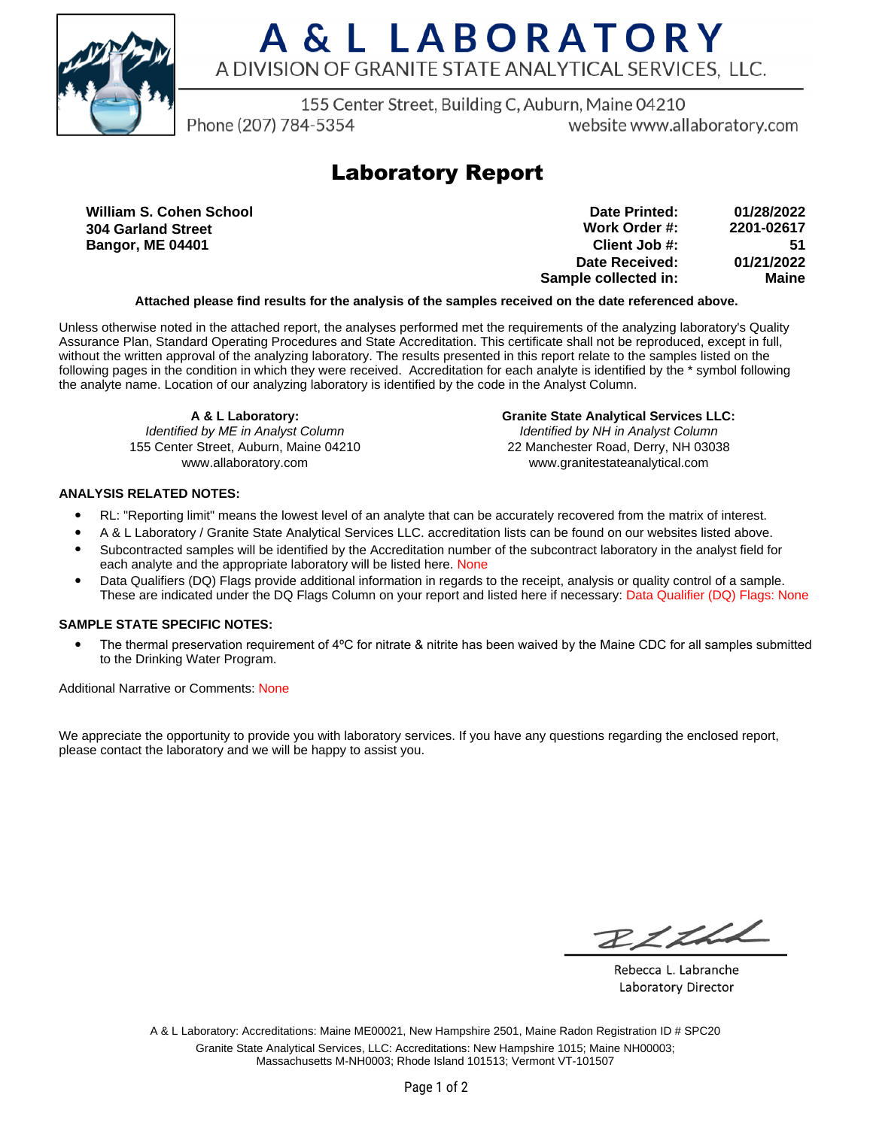

# A & L LABORATORY A DIVISION OF GRANITE STATE ANALYTICAL SERVICES. LLC.

155 Center Street, Building C, Auburn, Maine 04210

Phone (207) 784-5354

website www.allaboratory.com

## **Laboratory Report**

**William S. Cohen School 304 Garland Street Bangor, ME 04401**

| Date Printed:        | 01/28/2022 |
|----------------------|------------|
| Work Order #:        | 2201-02617 |
| Client Job #:        | 51         |
| Date Received:       | 01/21/2022 |
| Sample collected in: | Maine      |

### **Attached please find results for the analysis of the samples received on the date referenced above.**

Unless otherwise noted in the attached report, the analyses performed met the requirements of the analyzing laboratory's Quality Assurance Plan, Standard Operating Procedures and State Accreditation. This certificate shall not be reproduced, except in full, without the written approval of the analyzing laboratory. The results presented in this report relate to the samples listed on the following pages in the condition in which they were received. Accreditation for each analyte is identified by the \* symbol following the analyte name. Location of our analyzing laboratory is identified by the code in the Analyst Column.

**A & L Laboratory:** Identified by ME in Analyst Column 155 Center Street, Auburn, Maine 04210 www.allaboratory.com

**Granite State Analytical Services LLC:** Identified by NH in Analyst Column 22 Manchester Road, Derry, NH 03038 www.granitestateanalytical.com

### **ANALYSIS RELATED NOTES:**

- RL: "Reporting limit" means the lowest level of an analyte that can be accurately recovered from the matrix of interest.
- A & L Laboratory / Granite State Analytical Services LLC. accreditation lists can be found on our websites listed above.
- Subcontracted samples will be identified by the Accreditation number of the subcontract laboratory in the analyst field for each analyte and the appropriate laboratory will be listed here. None
- Data Qualifiers (DQ) Flags provide additional information in regards to the receipt, analysis or quality control of a sample. These are indicated under the DQ Flags Column on your report and listed here if necessary: Data Qualifier (DQ) Flags: None

### **SAMPLE STATE SPECIFIC NOTES:**

• The thermal preservation requirement of 4°C for nitrate & nitrite has been waived by the Maine CDC for all samples submitted to the Drinking Water Program.

Additional Narrative or Comments: None

We appreciate the opportunity to provide you with laboratory services. If you have any questions regarding the enclosed report, please contact the laboratory and we will be happy to assist you.

RICH

Rebecca L. Labranche Laboratory Director

A & L Laboratory: Accreditations: Maine ME00021, New Hampshire 2501, Maine Radon Registration ID # SPC20 Granite State Analytical Services, LLC: Accreditations: New Hampshire 1015; Maine NH00003; Massachusetts M-NH0003; Rhode Island 101513; Vermont VT-101507